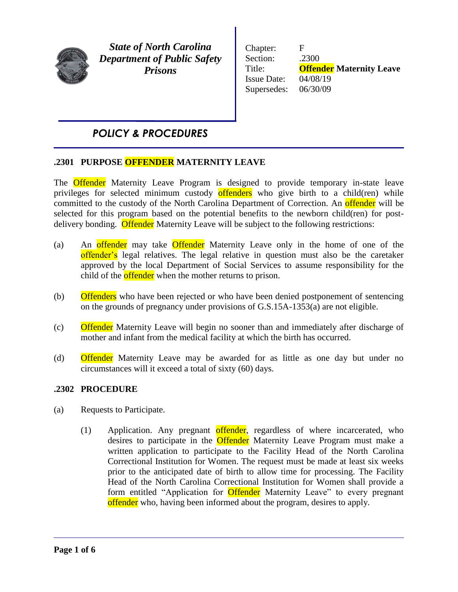

*State of North Carolina Department of Public Safety Prisons*

Chapter: F Section: .2300 Title: **Offender Maternity Leave** Issue Date: 04/08/19 Supersedes: 06/30/09

# *POLICY & PROCEDURES*

### Ī **.2301 PURPOSE OFFENDER MATERNITY LEAVE**

The **Offender** Maternity Leave Program is designed to provide temporary in-state leave privileges for selected minimum custody offenders who give birth to a child(ren) while committed to the custody of the North Carolina Department of Correction. An **offender** will be selected for this program based on the potential benefits to the newborn child(ren) for postdelivery bonding. Offender Maternity Leave will be subject to the following restrictions:

- (a) An offender may take Offender Maternity Leave only in the home of one of the offender's legal relatives. The legal relative in question must also be the caretaker approved by the local Department of Social Services to assume responsibility for the child of the **offender** when the mother returns to prison.
- (b) Offenders who have been rejected or who have been denied postponement of sentencing on the grounds of pregnancy under provisions of G.S.15A-1353(a) are not eligible.
- (c) Offender Maternity Leave will begin no sooner than and immediately after discharge of mother and infant from the medical facility at which the birth has occurred.
- (d) Offender Maternity Leave may be awarded for as little as one day but under no circumstances will it exceed a total of sixty (60) days.

## **.2302 PROCEDURE**

- (a) Requests to Participate.
	- (1) Application. Any pregnant offender, regardless of where incarcerated, who desires to participate in the Offender Maternity Leave Program must make a written application to participate to the Facility Head of the North Carolina Correctional Institution for Women. The request must be made at least six weeks prior to the anticipated date of birth to allow time for processing. The Facility Head of the North Carolina Correctional Institution for Women shall provide a form entitled "Application for **Offender** Maternity Leave" to every pregnant offender who, having been informed about the program, desires to apply.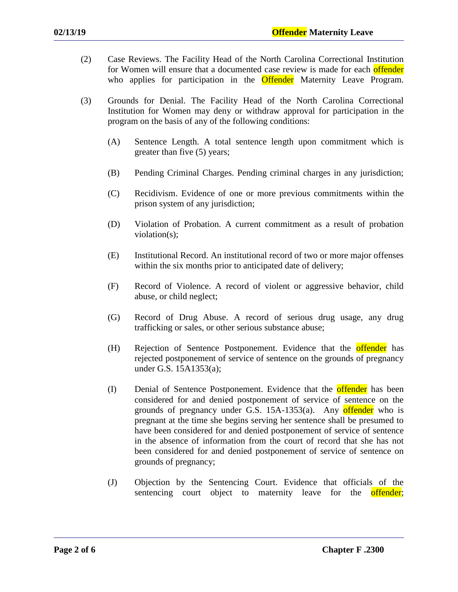- (2) Case Reviews. The Facility Head of the North Carolina Correctional Institution for Women will ensure that a documented case review is made for each offender who applies for participation in the **Offender** Maternity Leave Program.
- (3) Grounds for Denial. The Facility Head of the North Carolina Correctional Institution for Women may deny or withdraw approval for participation in the program on the basis of any of the following conditions:
	- (A) Sentence Length. A total sentence length upon commitment which is greater than five (5) years;
	- (B) Pending Criminal Charges. Pending criminal charges in any jurisdiction;
	- (C) Recidivism. Evidence of one or more previous commitments within the prison system of any jurisdiction;
	- (D) Violation of Probation. A current commitment as a result of probation violation(s);
	- (E) Institutional Record. An institutional record of two or more major offenses within the six months prior to anticipated date of delivery;
	- (F) Record of Violence. A record of violent or aggressive behavior, child abuse, or child neglect;
	- (G) Record of Drug Abuse. A record of serious drug usage, any drug trafficking or sales, or other serious substance abuse;
	- (H) Rejection of Sentence Postponement. Evidence that the **offender** has rejected postponement of service of sentence on the grounds of pregnancy under G.S. 15A1353(a);
	- (I) Denial of Sentence Postponement. Evidence that the **offender** has been considered for and denied postponement of service of sentence on the grounds of pregnancy under G.S.  $15A-1353(a)$ . Any offender who is pregnant at the time she begins serving her sentence shall be presumed to have been considered for and denied postponement of service of sentence in the absence of information from the court of record that she has not been considered for and denied postponement of service of sentence on grounds of pregnancy;
	- (J) Objection by the Sentencing Court. Evidence that officials of the sentencing court object to maternity leave for the offender;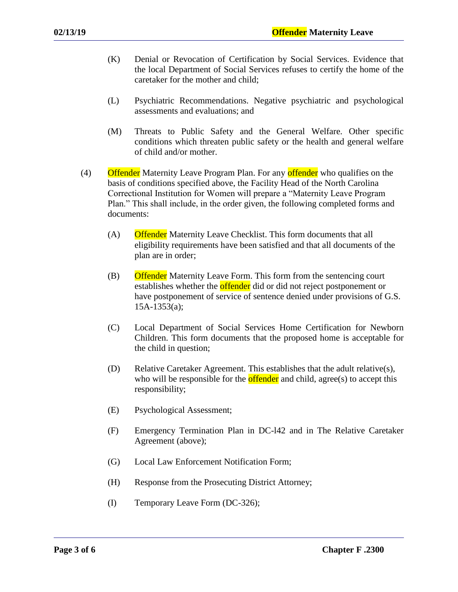- (K) Denial or Revocation of Certification by Social Services. Evidence that the local Department of Social Services refuses to certify the home of the caretaker for the mother and child;
- (L) Psychiatric Recommendations. Negative psychiatric and psychological assessments and evaluations; and
- (M) Threats to Public Safety and the General Welfare. Other specific conditions which threaten public safety or the health and general welfare of child and/or mother.
- (4) Offender Maternity Leave Program Plan. For any offender who qualifies on the basis of conditions specified above, the Facility Head of the North Carolina Correctional Institution for Women will prepare a "Maternity Leave Program Plan." This shall include, in the order given, the following completed forms and documents:
	- (A) Offender Maternity Leave Checklist. This form documents that all eligibility requirements have been satisfied and that all documents of the plan are in order;
	- (B) Offender Maternity Leave Form. This form from the sentencing court establishes whether the **offender** did or did not reject postponement or have postponement of service of sentence denied under provisions of G.S. 15A-1353(a);
	- (C) Local Department of Social Services Home Certification for Newborn Children. This form documents that the proposed home is acceptable for the child in question;
	- (D) Relative Caretaker Agreement. This establishes that the adult relative(s), who will be responsible for the **offender** and child, agree(s) to accept this responsibility;
	- (E) Psychological Assessment;
	- (F) Emergency Termination Plan in DC-l42 and in The Relative Caretaker Agreement (above);
	- (G) Local Law Enforcement Notification Form;
	- (H) Response from the Prosecuting District Attorney;
	- (I) Temporary Leave Form (DC-326);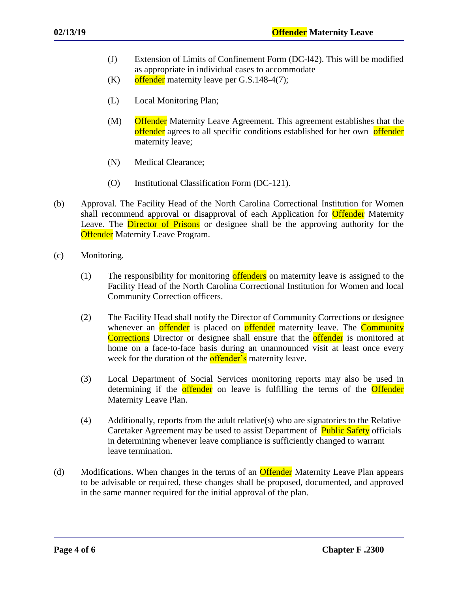- (J) Extension of Limits of Confinement Form (DC-l42). This will be modified as appropriate in individual cases to accommodate
- $(K)$  offender maternity leave per G.S.148-4(7);
- (L) Local Monitoring Plan;
- (M) Offender Maternity Leave Agreement. This agreement establishes that the offender agrees to all specific conditions established for her own offender maternity leave;
- (N) Medical Clearance;
- (O) Institutional Classification Form (DC-121).
- (b) Approval. The Facility Head of the North Carolina Correctional Institution for Women shall recommend approval or disapproval of each Application for **Offender** Maternity Leave. The **Director of Prisons** or designee shall be the approving authority for the **Offender** Maternity Leave Program.
- (c) Monitoring.
	- (1) The responsibility for monitoring **offenders** on maternity leave is assigned to the Facility Head of the North Carolina Correctional Institution for Women and local Community Correction officers.
	- (2) The Facility Head shall notify the Director of Community Corrections or designee whenever an **offender** is placed on **offender** maternity leave. The **Community** Corrections Director or designee shall ensure that the **offender** is monitored at home on a face-to-face basis during an unannounced visit at least once every week for the duration of the **offender's** maternity leave.
	- (3) Local Department of Social Services monitoring reports may also be used in determining if the **offender** on leave is fulfilling the terms of the **Offender** Maternity Leave Plan.
	- (4) Additionally, reports from the adult relative(s) who are signatories to the Relative Caretaker Agreement may be used to assist Department of Public Safety officials in determining whenever leave compliance is sufficiently changed to warrant leave termination.
- (d) Modifications. When changes in the terms of an **Offender** Maternity Leave Plan appears to be advisable or required, these changes shall be proposed, documented, and approved in the same manner required for the initial approval of the plan.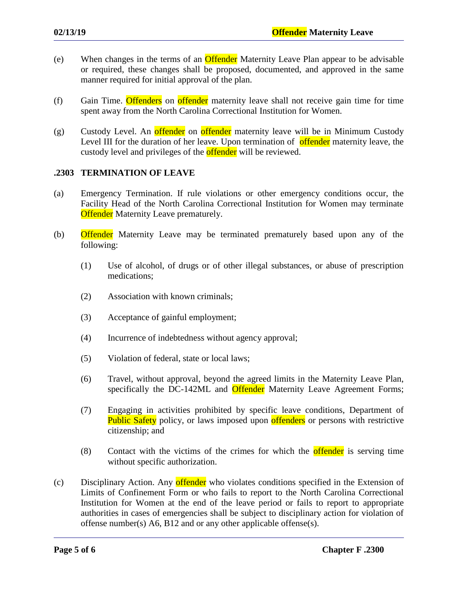- (e) When changes in the terms of an Offender Maternity Leave Plan appear to be advisable or required, these changes shall be proposed, documented, and approved in the same manner required for initial approval of the plan.
- (f) Gain Time. Offenders on offender maternity leave shall not receive gain time for time spent away from the North Carolina Correctional Institution for Women.
- (g) Custody Level. An offender on offender maternity leave will be in Minimum Custody Level III for the duration of her leave. Upon termination of offender maternity leave, the custody level and privileges of the **offender** will be reviewed.

## **.2303 TERMINATION OF LEAVE**

- (a) Emergency Termination. If rule violations or other emergency conditions occur, the Facility Head of the North Carolina Correctional Institution for Women may terminate **Offender** Maternity Leave prematurely.
- (b) Offender Maternity Leave may be terminated prematurely based upon any of the following:
	- (1) Use of alcohol, of drugs or of other illegal substances, or abuse of prescription medications;
	- (2) Association with known criminals;
	- (3) Acceptance of gainful employment;
	- (4) Incurrence of indebtedness without agency approval;
	- (5) Violation of federal, state or local laws;
	- (6) Travel, without approval, beyond the agreed limits in the Maternity Leave Plan, specifically the DC-142ML and Offender Maternity Leave Agreement Forms;
	- (7) Engaging in activities prohibited by specific leave conditions, Department of **Public Safety** policy, or laws imposed upon **offenders** or persons with restrictive citizenship; and
	- (8) Contact with the victims of the crimes for which the **offender** is serving time without specific authorization.
- (c) Disciplinary Action. Any offender who violates conditions specified in the Extension of Limits of Confinement Form or who fails to report to the North Carolina Correctional Institution for Women at the end of the leave period or fails to report to appropriate authorities in cases of emergencies shall be subject to disciplinary action for violation of offense number(s) A6, B12 and or any other applicable offense(s).